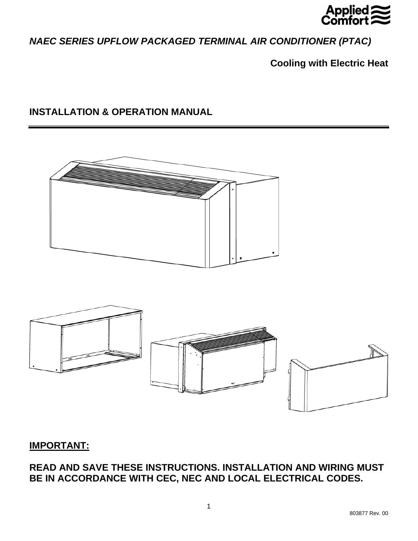

*NAEC SERIES UPFLOW PACKAGED TERMINAL AIR CONDITIONER (PTAC)* 

**Cooling with Electric Heat** 

# **INSTALLATION & OPERATION MANUAL**



# **IMPORTANT:**

**READ AND SAVE THESE INSTRUCTIONS. INSTALLATION AND WIRING MUST BE IN ACCORDANCE WITH CEC, NEC AND LOCAL ELECTRICAL CODES.**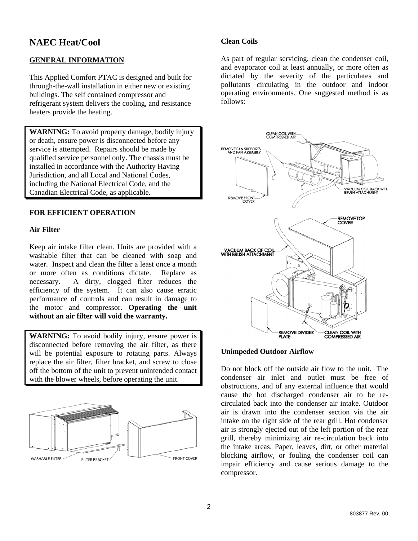# **NAEC Heat/Cool**

# **GENERAL INFORMATION**

This Applied Comfort PTAC is designed and built for through-the-wall installation in either new or existing buildings. The self contained compressor and refrigerant system delivers the cooling, and resistance heaters provide the heating.

**WARNING:** To avoid property damage, bodily injury or death, ensure power is disconnected before any service is attempted. Repairs should be made by qualified service personnel only. The chassis must be installed in accordance with the Authority Having Jurisdiction, and all Local and National Codes, including the National Electrical Code, and the Canadian Electrical Code, as applicable.

# **FOR EFFICIENT OPERATION**

#### **Air Filter**

Keep air intake filter clean. Units are provided with a washable filter that can be cleaned with soap and water. Inspect and clean the filter a least once a month or more often as conditions dictate. Replace as necessary. A dirty, clogged filter reduces the efficiency of the system. It can also cause erratic performance of controls and can result in damage to the motor and compressor. **Operating the unit without an air filter will void the warranty.**

**WARNING:** To avoid bodily injury, ensure power is disconnected before removing the air filter, as there will be potential exposure to rotating parts. Always replace the air filter, filter bracket, and screw to close off the bottom of the unit to prevent unintended contact with the blower wheels, before operating the unit.



## **Clean Coils**

As part of regular servicing, clean the condenser coil, and evaporator coil at least annually, or more often as dictated by the severity of the particulates and pollutants circulating in the outdoor and indoor operating environments. One suggested method is as follows:



#### **Unimpeded Outdoor Airflow**

Do not block off the outside air flow to the unit. The condenser air inlet and outlet must be free of obstructions, and of any external influence that would cause the hot discharged condenser air to be recirculated back into the condenser air intake. Outdoor air is drawn into the condenser section via the air intake on the right side of the rear grill. Hot condenser air is strongly ejected out of the left portion of the rear grill, thereby minimizing air re-circulation back into the intake areas. Paper, leaves, dirt, or other material blocking airflow, or fouling the condenser coil can impair efficiency and cause serious damage to the compressor.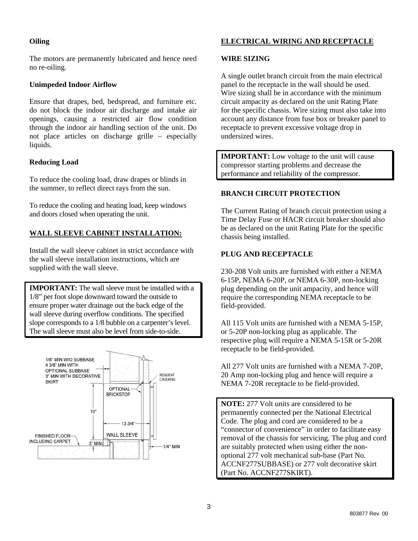# **Oiling**

The motors are permanently lubricated and hence need no re-oiling.

## **Unimpeded Indoor Airflow**

Ensure that drapes, bed, bedspread, and furniture etc. do not block the indoor air discharge and intake air openings, causing a restricted air flow condition through the indoor air handling section of the unit. Do not place articles on discharge grille – especially liquids.

## **Reducing Load**

To reduce the cooling load, draw drapes or blinds in the summer, to reflect direct rays from the sun.

To reduce the cooling and heating load, keep windows and doors closed when operating the unit.

# **WALL SLEEVE CABINET INSTALLATION:**

Install the wall sleeve cabinet in strict accordance with the wall sleeve installation instructions, which are supplied with the wall sleeve.

**IMPORTANT:** The wall sleeve must be installed with a 1/8" per foot slope downward toward the outside to ensure proper water drainage out the back edge of the wall sleeve during overflow conditions. The specified slope corresponds to a 1/8 bubble on a carpenter's level. The wall sleeve must also be level from side-to-side.



# **ELECTRICAL WIRING AND RECEPTACLE**

## **WIRE SIZING**

A single outlet branch circuit from the main electrical panel to the receptacle in the wall should be used. Wire sizing shall be in accordance with the minimum circuit ampacity as declared on the unit Rating Plate for the specific chassis. Wire sizing must also take into account any distance from fuse box or breaker panel to receptacle to prevent excessive voltage drop in undersized wires.

**IMPORTANT:** Low voltage to the unit will cause compressor starting problems and decrease the performance and reliability of the compressor.

# **BRANCH CIRCUIT PROTECTION**

The Current Rating of branch circuit protection using a Time Delay Fuse or HACR circuit breaker should also be as declared on the unit Rating Plate for the specific chassis being installed.

# **PLUG AND RECEPTACLE**

230-208 Volt units are furnished with either a NEMA 6-15P, NEMA 6-20P, or NEMA 6-30P, non-locking plug depending on the unit ampacity, and hence will require the corresponding NEMA receptacle to be field-provided.

All 115 Volt units are furnished with a NEMA 5-15P, or 5-20P non-locking plug as applicable. The respective plug will require a NEMA 5-15R or 5-20R receptacle to be field-provided.

All 277 Volt units are furnished with a NEMA 7-20P, 20 Amp non-locking plug and hence will require a NEMA 7-20R receptacle to be field-provided.

**NOTE:** 277 Volt units are considered to be permanently connected per the National Electrical Code. The plug and cord are considered to be a "connector of convenience" in order to facilitate easy removal of the chassis for servicing. The plug and cord are suitably protected when using either the nonoptional 277 volt mechanical sub-base (Part No. ACCNF277SUBBASE) or 277 volt decorative skirt (Part No. ACCNF277SKIRT).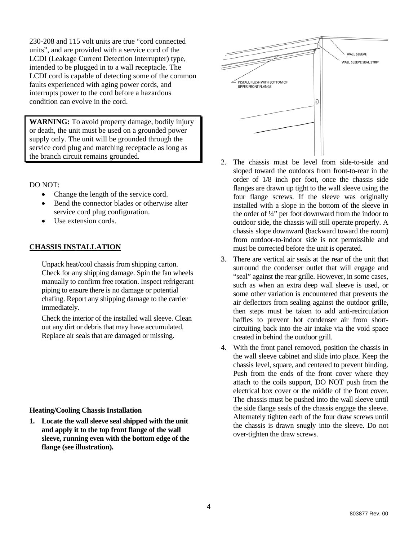230-208 and 115 volt units are true "cord connected units", and are provided with a service cord of the LCDI (Leakage Current Detection Interrupter) type, intended to be plugged in to a wall receptacle. The LCDI cord is capable of detecting some of the common faults experienced with aging power cords, and interrupts power to the cord before a hazardous condition can evolve in the cord.

**WARNING:** To avoid property damage, bodily injury or death, the unit must be used on a grounded power supply only. The unit will be grounded through the service cord plug and matching receptacle as long as the branch circuit remains grounded.

DO NOT:

- Change the length of the service cord.
- Bend the connector blades or otherwise alter service cord plug configuration.
- Use extension cords.

#### **CHASSIS INSTALLATION**

Unpack heat/cool chassis from shipping carton. Check for any shipping damage. Spin the fan wheels manually to confirm free rotation. Inspect refrigerant piping to ensure there is no damage or potential chafing. Report any shipping damage to the carrier immediately.

Check the interior of the installed wall sleeve. Clean out any dirt or debris that may have accumulated. Replace air seals that are damaged or missing.

#### **Heating/Cooling Chassis Installation**

**1. Locate the wall sleeve seal shipped with the unit and apply it to the top front flange of the wall sleeve, running even with the bottom edge of the flange (see illustration).** 



- 2. The chassis must be level from side-to-side and sloped toward the outdoors from front-to-rear in the order of 1/8 inch per foot, once the chassis side flanges are drawn up tight to the wall sleeve using the four flange screws. If the sleeve was originally installed with a slope in the bottom of the sleeve in the order of ¼" per foot downward from the indoor to outdoor side, the chassis will still operate properly. A chassis slope downward (backward toward the room) from outdoor-to-indoor side is not permissible and must be corrected before the unit is operated.
- 3. There are vertical air seals at the rear of the unit that surround the condenser outlet that will engage and "seal" against the rear grille. However, in some cases, such as when an extra deep wall sleeve is used, or some other variation is encountered that prevents the air deflectors from sealing against the outdoor grille, then steps must be taken to add anti-recirculation baffles to prevent hot condenser air from shortcircuiting back into the air intake via the void space created in behind the outdoor grill.
- 4. With the front panel removed, position the chassis in the wall sleeve cabinet and slide into place. Keep the chassis level, square, and centered to prevent binding. Push from the ends of the front cover where they attach to the coils support, DO NOT push from the electrical box cover or the middle of the front cover. The chassis must be pushed into the wall sleeve until the side flange seals of the chassis engage the sleeve. Alternately tighten each of the four draw screws until the chassis is drawn snugly into the sleeve. Do not over-tighten the draw screws.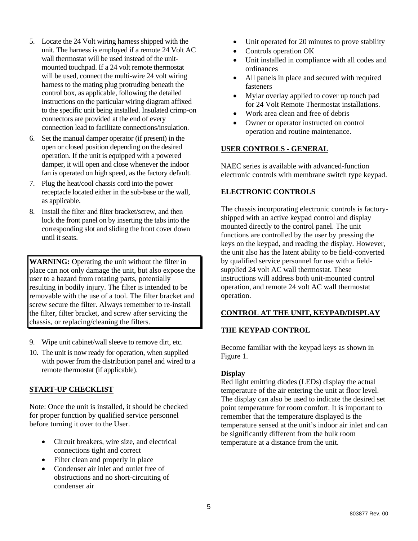- 5. Locate the 24 Volt wiring harness shipped with the unit. The harness is employed if a remote 24 Volt AC wall thermostat will be used instead of the unitmounted touchpad. If a 24 volt remote thermostat will be used, connect the multi-wire 24 volt wiring harness to the mating plug protruding beneath the control box, as applicable, following the detailed instructions on the particular wiring diagram affixed to the specific unit being installed. Insulated crimp-on connectors are provided at the end of every connection lead to facilitate connections/insulation.
- 6. Set the manual damper operator (if present) in the open or closed position depending on the desired operation. If the unit is equipped with a powered damper, it will open and close whenever the indoor fan is operated on high speed, as the factory default.
- 7. Plug the heat/cool chassis cord into the power receptacle located either in the sub-base or the wall, as applicable.
- 8. Install the filter and filter bracket/screw, and then lock the front panel on by inserting the tabs into the corresponding slot and sliding the front cover down until it seats.

**WARNING:** Operating the unit without the filter in place can not only damage the unit, but also expose the user to a hazard from rotating parts, potentially resulting in bodily injury. The filter is intended to be removable with the use of a tool. The filter bracket and screw secure the filter. Always remember to re-install the filter, filter bracket, and screw after servicing the chassis, or replacing/cleaning the filters.

- 9. Wipe unit cabinet/wall sleeve to remove dirt, etc.
- 10. The unit is now ready for operation, when supplied with power from the distribution panel and wired to a remote thermostat (if applicable).

# **START-UP CHECKLIST**

Note: Once the unit is installed, it should be checked for proper function by qualified service personnel before turning it over to the User.

- Circuit breakers, wire size, and electrical connections tight and correct
- Filter clean and properly in place
- Condenser air inlet and outlet free of obstructions and no short-circuiting of condenser air
- Unit operated for 20 minutes to prove stability
- Controls operation OK
- Unit installed in compliance with all codes and ordinances
- All panels in place and secured with required fasteners
- Mylar overlay applied to cover up touch pad for 24 Volt Remote Thermostat installations.
- Work area clean and free of debris
- Owner or operator instructed on control operation and routine maintenance.

# **USER CONTROLS - GENERAL**

NAEC series is available with advanced-function electronic controls with membrane switch type keypad.

## **ELECTRONIC CONTROLS**

The chassis incorporating electronic controls is factoryshipped with an active keypad control and display mounted directly to the control panel. The unit functions are controlled by the user by pressing the keys on the keypad, and reading the display. However, the unit also has the latent ability to be field-converted by qualified service personnel for use with a fieldsupplied 24 volt AC wall thermostat. These instructions will address both unit-mounted control operation, and remote 24 volt AC wall thermostat operation.

#### **CONTROL AT THE UNIT, KEYPAD/DISPLAY**

#### **THE KEYPAD CONTROL**

Become familiar with the keypad keys as shown in Figure 1.

#### **Display**

Red light emitting diodes (LEDs) display the actual temperature of the air entering the unit at floor level. The display can also be used to indicate the desired set point temperature for room comfort. It is important to remember that the temperature displayed is the temperature sensed at the unit's indoor air inlet and can be significantly different from the bulk room temperature at a distance from the unit.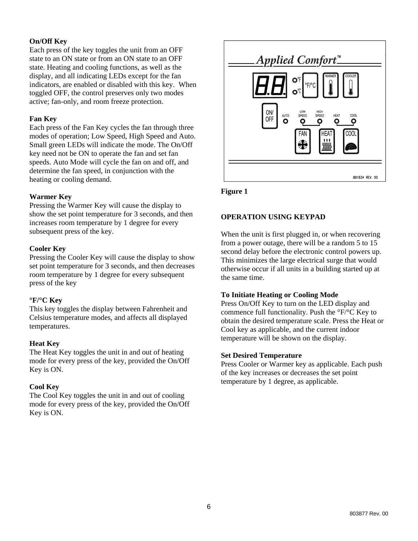# **On/Off Key**

Each press of the key toggles the unit from an OFF state to an ON state or from an ON state to an OFF state. Heating and cooling functions, as well as the display, and all indicating LEDs except for the fan indicators, are enabled or disabled with this key. When toggled OFF, the control preserves only two modes active; fan-only, and room freeze protection.

# **Fan Key**

Each press of the Fan Key cycles the fan through three modes of operation; Low Speed, High Speed and Auto. Small green LEDs will indicate the mode. The On/Off key need not be ON to operate the fan and set fan speeds. Auto Mode will cycle the fan on and off, and determine the fan speed, in conjunction with the heating or cooling demand.

## **Warmer Key**

Pressing the Warmer Key will cause the display to show the set point temperature for 3 seconds, and then increases room temperature by 1 degree for every subsequent press of the key.

## **Cooler Key**

Pressing the Cooler Key will cause the display to show set point temperature for 3 seconds, and then decreases room temperature by 1 degree for every subsequent press of the key

#### **°F/°C Key**

This key toggles the display between Fahrenheit and Celsius temperature modes, and affects all displayed temperatures.

# **Heat Key**

The Heat Key toggles the unit in and out of heating mode for every press of the key, provided the On/Off Key is ON.

# **Cool Key**

The Cool Key toggles the unit in and out of cooling mode for every press of the key, provided the On/Off Key is ON.



**Figure 1** 

# **OPERATION USING KEYPAD**

When the unit is first plugged in, or when recovering from a power outage, there will be a random 5 to 15 second delay before the electronic control powers up. This minimizes the large electrical surge that would otherwise occur if all units in a building started up at the same time.

# **To Initiate Heating or Cooling Mode**

Press On/Off Key to turn on the LED display and commence full functionality. Push the °F/°C Key to obtain the desired temperature scale. Press the Heat or Cool key as applicable, and the current indoor temperature will be shown on the display.

#### **Set Desired Temperature**

Press Cooler or Warmer key as applicable. Each push of the key increases or decreases the set point temperature by 1 degree, as applicable.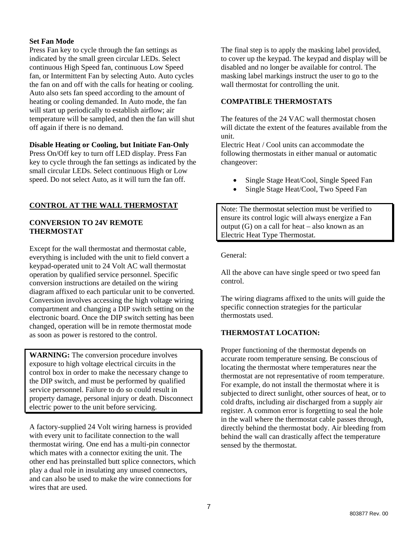## **Set Fan Mode**

Press Fan key to cycle through the fan settings as indicated by the small green circular LEDs. Select continuous High Speed fan, continuous Low Speed fan, or Intermittent Fan by selecting Auto. Auto cycles the fan on and off with the calls for heating or cooling. Auto also sets fan speed according to the amount of heating or cooling demanded. In Auto mode, the fan will start up periodically to establish airflow; air temperature will be sampled, and then the fan will shut off again if there is no demand.

## **Disable Heating or Cooling, but Initiate Fan-Only**

Press On/Off key to turn off LED display. Press Fan key to cycle through the fan settings as indicated by the small circular LEDs. Select continuous High or Low speed. Do not select Auto, as it will turn the fan off.

# **CONTROL AT THE WALL THERMOSTAT**

## **CONVERSION TO 24V REMOTE THERMOSTAT**

Except for the wall thermostat and thermostat cable, everything is included with the unit to field convert a keypad-operated unit to 24 Volt AC wall thermostat operation by qualified service personnel. Specific conversion instructions are detailed on the wiring diagram affixed to each particular unit to be converted. Conversion involves accessing the high voltage wiring compartment and changing a DIP switch setting on the electronic board. Once the DIP switch setting has been changed, operation will be in remote thermostat mode as soon as power is restored to the control.

**WARNING:** The conversion procedure involves exposure to high voltage electrical circuits in the control box in order to make the necessary change to the DIP switch, and must be performed by qualified service personnel. Failure to do so could result in property damage, personal injury or death. Disconnect electric power to the unit before servicing.

A factory-supplied 24 Volt wiring harness is provided with every unit to facilitate connection to the wall thermostat wiring. One end has a multi-pin connector which mates with a connector exiting the unit. The other end has preinstalled butt splice connectors, which play a dual role in insulating any unused connectors, and can also be used to make the wire connections for wires that are used.

The final step is to apply the masking label provided, to cover up the keypad. The keypad and display will be disabled and no longer be available for control. The masking label markings instruct the user to go to the wall thermostat for controlling the unit.

## **COMPATIBLE THERMOSTATS**

The features of the 24 VAC wall thermostat chosen will dictate the extent of the features available from the unit.

Electric Heat / Cool units can accommodate the following thermostats in either manual or automatic changeover:

- Single Stage Heat/Cool, Single Speed Fan
- Single Stage Heat/Cool, Two Speed Fan

Note: The thermostat selection must be verified to ensure its control logic will always energize a Fan output (G) on a call for heat – also known as an Electric Heat Type Thermostat.

General:

All the above can have single speed or two speed fan control.

The wiring diagrams affixed to the units will guide the specific connection strategies for the particular thermostats used.

# **THERMOSTAT LOCATION:**

Proper functioning of the thermostat depends on accurate room temperature sensing. Be conscious of locating the thermostat where temperatures near the thermostat are not representative of room temperature. For example, do not install the thermostat where it is subjected to direct sunlight, other sources of heat, or to cold drafts, including air discharged from a supply air register. A common error is forgetting to seal the hole in the wall where the thermostat cable passes through, directly behind the thermostat body. Air bleeding from behind the wall can drastically affect the temperature sensed by the thermostat.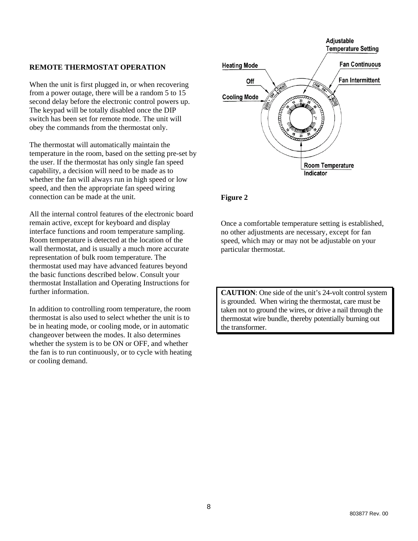#### **REMOTE THERMOSTAT OPERATION**

When the unit is first plugged in, or when recovering from a power outage, there will be a random 5 to 15 second delay before the electronic control powers up. The keypad will be totally disabled once the DIP switch has been set for remote mode. The unit will obey the commands from the thermostat only.

The thermostat will automatically maintain the temperature in the room, based on the setting pre-set by the user. If the thermostat has only single fan speed capability, a decision will need to be made as to whether the fan will always run in high speed or low speed, and then the appropriate fan speed wiring connection can be made at the unit.

All the internal control features of the electronic board remain active, except for keyboard and display interface functions and room temperature sampling. Room temperature is detected at the location of the wall thermostat, and is usually a much more accurate representation of bulk room temperature. The thermostat used may have advanced features beyond the basic functions described below. Consult your thermostat Installation and Operating Instructions for further information.

In addition to controlling room temperature, the room thermostat is also used to select whether the unit is to be in heating mode, or cooling mode, or in automatic changeover between the modes. It also determines whether the system is to be ON or OFF, and whether the fan is to run continuously, or to cycle with heating or cooling demand.



#### **Figure 2**

Once a comfortable temperature setting is established, no other adjustments are necessary, except for fan speed, which may or may not be adjustable on your particular thermostat.

**CAUTION**: One side of the unit's 24-volt control system is grounded. When wiring the thermostat, care must be taken not to ground the wires, or drive a nail through the thermostat wire bundle, thereby potentially burning out the transformer.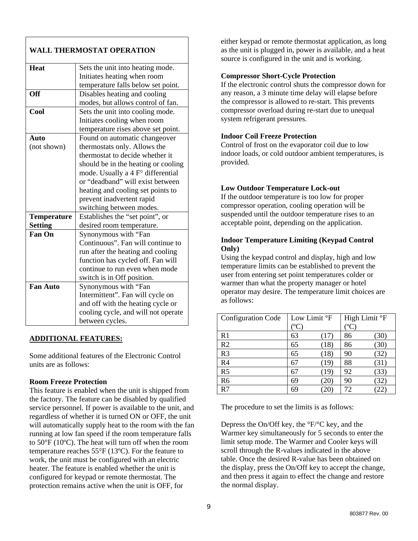| <b>WALL THERMOSTAT OPERATION</b> |                                     |  |  |  |
|----------------------------------|-------------------------------------|--|--|--|
| <b>Heat</b>                      | Sets the unit into heating mode.    |  |  |  |
|                                  | Initiates heating when room         |  |  |  |
|                                  | temperature falls below set point.  |  |  |  |
| <b>Off</b>                       | Disables heating and cooling        |  |  |  |
|                                  | modes, but allows control of fan.   |  |  |  |
| Cool                             | Sets the unit into cooling mode.    |  |  |  |
|                                  | Initiates cooling when room         |  |  |  |
|                                  | temperature rises above set point.  |  |  |  |
| Auto                             | Found on automatic changeover       |  |  |  |
| (not shown)                      | thermostats only. Allows the        |  |  |  |
|                                  | thermostat to decide whether it     |  |  |  |
|                                  | should be in the heating or cooling |  |  |  |
|                                  | mode. Usually a 4 F° differential   |  |  |  |
|                                  | or "deadband" will exist between    |  |  |  |
|                                  | heating and cooling set points to   |  |  |  |
|                                  | prevent inadvertent rapid           |  |  |  |
|                                  | switching between modes.            |  |  |  |
| <b>Temperature</b>               | Establishes the "set point", or     |  |  |  |
| <b>Setting</b>                   | desired room temperature.           |  |  |  |
| <b>Fan On</b>                    | Synonymous with "Fan                |  |  |  |
|                                  | Continuous". Fan will continue to   |  |  |  |
|                                  | run after the heating and cooling   |  |  |  |
|                                  | function has cycled off. Fan will   |  |  |  |
|                                  | continue to run even when mode      |  |  |  |
|                                  | switch is in Off position.          |  |  |  |
| <b>Fan Auto</b>                  | Synonymous with "Fan                |  |  |  |
|                                  | Intermittent". Fan will cycle on    |  |  |  |
|                                  | and off with the heating cycle or   |  |  |  |
|                                  | cooling cycle, and will not operate |  |  |  |
|                                  | between cycles.                     |  |  |  |

#### **ADDITIONAL FEATURES:**

Some additional features of the Electronic Control units are as follows:

#### **Room Freeze Protection**

This feature is enabled when the unit is shipped from the factory. The feature can be disabled by qualified service personnel. If power is available to the unit, and regardless of whether it is turned ON or OFF, the unit will automatically supply heat to the room with the fan running at low fan speed if the room temperature falls to 50°F (10ºC). The heat will turn off when the room temperature reaches 55°F (13ºC). For the feature to work, the unit must be configured with an electric heater. The feature is enabled whether the unit is configured for keypad or remote thermostat. The protection remains active when the unit is OFF, for

either keypad or remote thermostat application, as long as the unit is plugged in, power is available, and a heat source is configured in the unit and is working.

#### **Compressor Short-Cycle Protection**

If the electronic control shuts the compressor down for any reason, a 3 minute time delay will elapse before the compressor is allowed to re-start. This prevents compressor overload during re-start due to unequal system refrigerant pressures.

#### **Indoor Coil Freeze Protection**

Control of frost on the evaporator coil due to low indoor loads, or cold outdoor ambient temperatures, is provided.

#### **Low Outdoor Temperature Lock-out**

If the outdoor temperature is too low for proper compressor operation, cooling operation will be suspended until the outdoor temperature rises to an acceptable point, depending on the application.

#### **Indoor Temperature Limiting (Keypad Control Only)**

Using the keypad control and display, high and low temperature limits can be established to prevent the user from entering set point temperatures colder or warmer than what the property manager or hotel operator may desire. The temperature limit choices are as follows:

| <b>Configuration Code</b> | Low Limit °F |      | High Limit °F |      |
|---------------------------|--------------|------|---------------|------|
|                           | $\rm ^{o}C$  |      | $\rm ^{o}C$   |      |
| R <sub>1</sub>            | 63           | [17] | 86            | (30) |
| R <sub>2</sub>            | 65           | (18) | 86            | [30] |
| R <sub>3</sub>            | 65           | (18) | 90            | (32) |
| R <sub>4</sub>            | 67           | (19) | 88            | (31) |
| R <sub>5</sub>            | 67           | [19] | 92            | (33) |
| R <sub>6</sub>            | 69           | 20   | 90            |      |
| R7                        | 69           |      | 72            |      |

The procedure to set the limits is as follows:

Depress the On/Off key, the °F/°C key, and the Warmer key simultaneously for 5 seconds to enter the limit setup mode. The Warmer and Cooler keys will scroll through the R-values indicated in the above table. Once the desired R-value has been obtained on the display, press the On/Off key to accept the change, and then press it again to effect the change and restore the normal display.